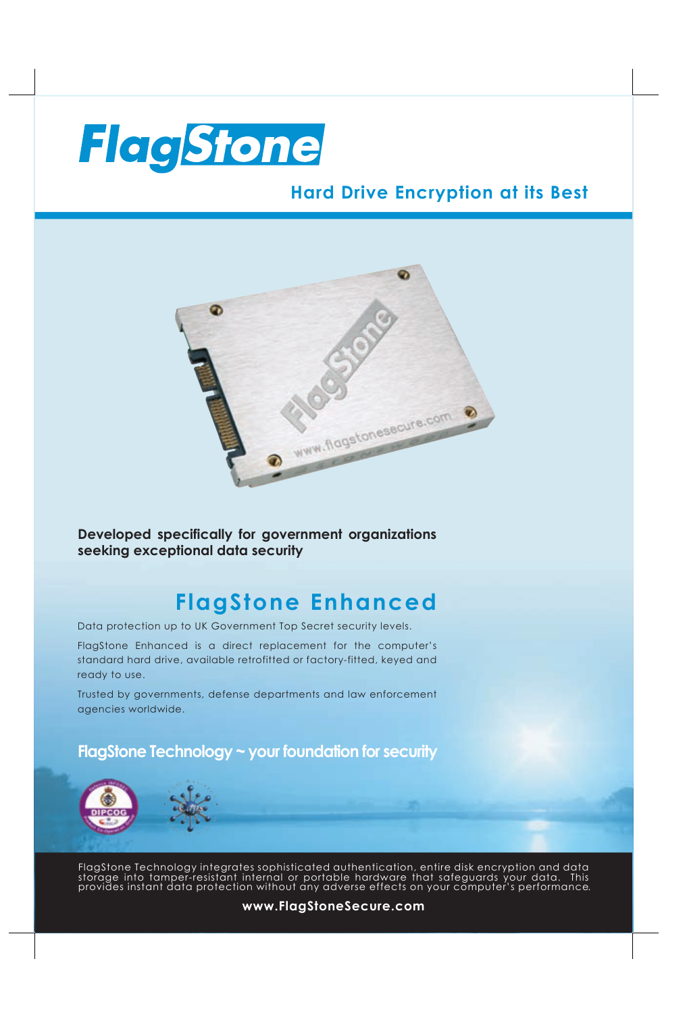

## **Hard Drive Encryption at its Best**



**Developed specifically for government organizations seeking exceptional data security**

## **FlagStone Enhanced**

Data protection up to UK Government Top Secret security levels.

FlagStone Enhanced is a direct replacement for the computer's standard hard drive, available retrofitted or factory-fitted, keyed and ready to use.

Trusted by governments, defense departments and law enforcement agencies worldwide.

### **FlagStone Technology ~ your foundation for security**



FlagStone Technology integrates sophisticated authentication, entire disk encryption and data storage into tamper-resistant internal or portable hardware that safeguards your data. This provides instant data protection without any adverse effects on your computer's performance .

#### **www.FlagStoneSecure.com**